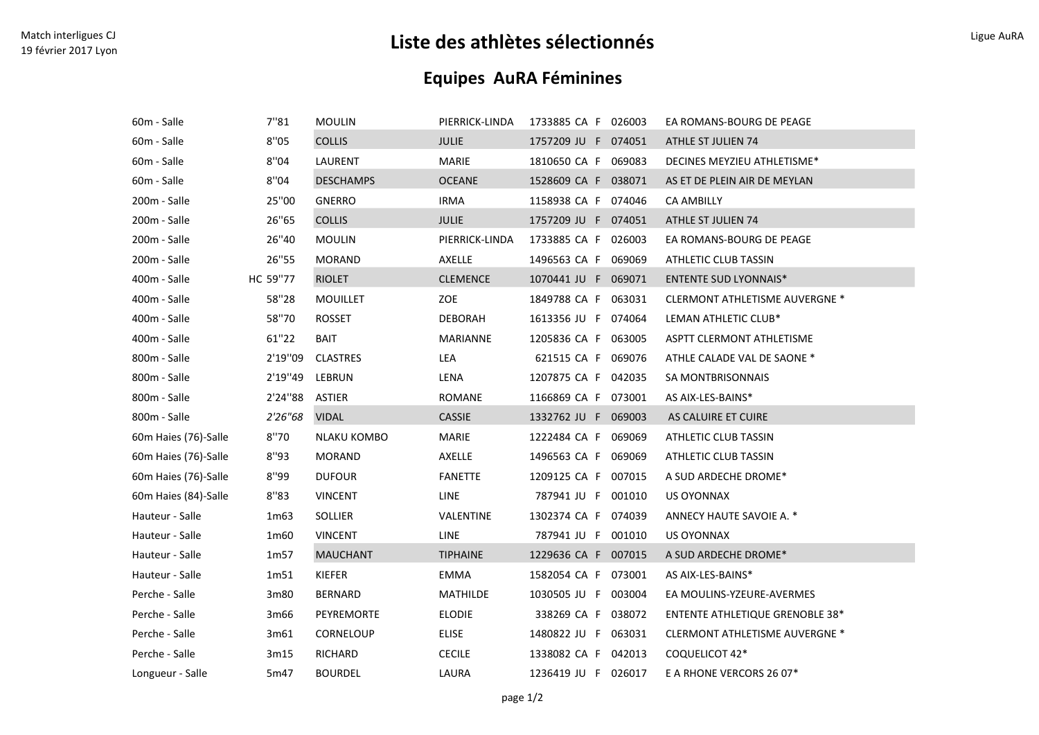## Match interligues CJ<br>19 février 2017 Lyon Ligue Aura Ligue Aura **Liste des athlètes sélectionnés** Ligue Aura Ligue Aura Ligue Aura

## Equipes AuRA Féminines

| 60m - Salle          | 7"81           | <b>MOULIN</b>    | PIERRICK-LINDA  | 1733885 CA F 026003 | EA ROMANS-BOURG DE PEAGE               |
|----------------------|----------------|------------------|-----------------|---------------------|----------------------------------------|
| 60m - Salle          | 8''05          | <b>COLLIS</b>    | <b>JULIE</b>    | 1757209 JU F 074051 | ATHLE ST JULIEN 74                     |
| 60m - Salle          | 8"04           | LAURENT          | <b>MARIE</b>    | 1810650 CA F 069083 | DECINES MEYZIEU ATHLETISME*            |
| 60m - Salle          | 8"04           | <b>DESCHAMPS</b> | <b>OCEANE</b>   | 1528609 CA F 038071 | AS ET DE PLEIN AIR DE MEYLAN           |
| 200m - Salle         | 25"00          | <b>GNERRO</b>    | <b>IRMA</b>     | 1158938 CA F 074046 | <b>CA AMBILLY</b>                      |
| 200m - Salle         | 26"65          | <b>COLLIS</b>    | <b>JULIE</b>    | 1757209 JU F 074051 | ATHLE ST JULIEN 74                     |
| 200m - Salle         | 26"40          | <b>MOULIN</b>    | PIERRICK-LINDA  | 1733885 CA F 026003 | EA ROMANS-BOURG DE PEAGE               |
| 200m - Salle         | 26"55          | <b>MORAND</b>    | AXELLE          | 1496563 CA F 069069 | ATHLETIC CLUB TASSIN                   |
| 400m - Salle         | HC 59"77       | <b>RIOLET</b>    | <b>CLEMENCE</b> | 1070441 JU F 069071 | <b>ENTENTE SUD LYONNAIS*</b>           |
| 400m - Salle         | 58"28          | <b>MOUILLET</b>  | ZOE             | 1849788 CA F 063031 | <b>CLERMONT ATHLETISME AUVERGNE *</b>  |
| 400m - Salle         | 58"70          | <b>ROSSET</b>    | <b>DEBORAH</b>  | 1613356 JU F 074064 | LEMAN ATHLETIC CLUB*                   |
| 400m - Salle         | 61"22          | <b>BAIT</b>      | MARIANNE        | 1205836 CA F 063005 | ASPTT CLERMONT ATHLETISME              |
| 800m - Salle         | 2'19"09        | <b>CLASTRES</b>  | LEA             | 621515 CA F 069076  | ATHLE CALADE VAL DE SAONE *            |
| 800m - Salle         | 2'19"49        | LEBRUN           | LENA            | 1207875 CA F 042035 | SA MONTBRISONNAIS                      |
| 800m - Salle         | 2'24"88 ASTIER |                  | ROMANE          | 1166869 CA F 073001 | AS AIX-LES-BAINS*                      |
| 800m - Salle         | 2'26"68        | <b>VIDAL</b>     | <b>CASSIE</b>   | 1332762 JU F 069003 | AS CALUIRE ET CUIRE                    |
| 60m Haies (76)-Salle | 8"70           | NLAKU KOMBO      | <b>MARIE</b>    | 1222484 CA F 069069 | ATHLETIC CLUB TASSIN                   |
| 60m Haies (76)-Salle | 8"93           | <b>MORAND</b>    | AXELLE          | 1496563 CA F 069069 | ATHLETIC CLUB TASSIN                   |
| 60m Haies (76)-Salle | 8"99           | <b>DUFOUR</b>    | <b>FANETTE</b>  | 1209125 CA F 007015 | A SUD ARDECHE DROME*                   |
| 60m Haies (84)-Salle | 8"83           | <b>VINCENT</b>   | LINE            | 787941 JU F 001010  | US OYONNAX                             |
| Hauteur - Salle      | 1m63           | SOLLIER          | VALENTINE       | 1302374 CA F 074039 | ANNECY HAUTE SAVOIE A. *               |
| Hauteur - Salle      | 1m60           | <b>VINCENT</b>   | LINE            | 787941 JU F 001010  | <b>US OYONNAX</b>                      |
| Hauteur - Salle      | 1m57           | <b>MAUCHANT</b>  | <b>TIPHAINE</b> | 1229636 CA F 007015 | A SUD ARDECHE DROME*                   |
| Hauteur - Salle      | 1m51           | KIEFER           | <b>EMMA</b>     | 1582054 CA F 073001 | AS AIX-LES-BAINS*                      |
| Perche - Salle       | 3m80           | BERNARD          | MATHILDE        | 1030505 JU F 003004 | EA MOULINS-YZEURE-AVERMES              |
| Perche - Salle       | 3m66           | PEYREMORTE       | <b>ELODIE</b>   | 338269 CA F 038072  | <b>ENTENTE ATHLETIQUE GRENOBLE 38*</b> |
| Perche - Salle       | 3m61           | CORNELOUP        | <b>ELISE</b>    | 1480822 JU F 063031 | CLERMONT ATHLETISME AUVERGNE *         |
| Perche - Salle       | 3m15           | RICHARD          | <b>CECILE</b>   | 1338082 CA F 042013 | COQUELICOT 42*                         |
| Longueur - Salle     | 5m47           | <b>BOURDEL</b>   | LAURA           | 1236419 JU F 026017 | E A RHONE VERCORS 26 07*               |